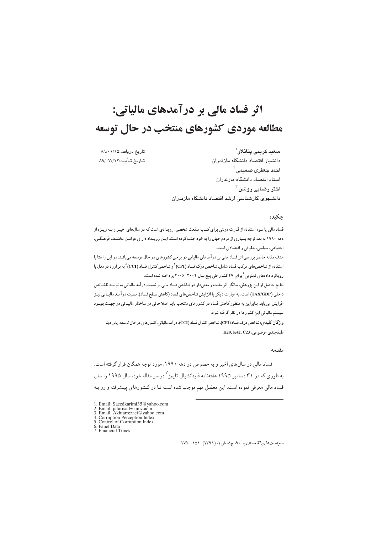# اثر فساد مالی بر درآمدهای مالیاتی: مطالعه موردي كشورهاي منتخب در حال توسعه

تاريخ دريافت:١/١٨/٠١/٨٩ تــاريخ تــأييــد: ٨٩/٠٧//١٢

سعد كريمي يتانلار ` دانشيار اقتصاد دانشگاه مازندران احمد جعفری صمیمی <sup>۲</sup> استاد اقتصاد دانشگاه مازندران اختر رضایی روشن <sup>۳</sup> دانشجوی کارشناسی ارشد اقتصاد دانشگاه مازندران

## چکیده

فساد مالی یا سوء استفاده از قدرت دولتی برای کسب منفعت شخصی، رویدادی است که در سالهای اخیـر و بـه ویـژه از دهه ۱۹۹۰ به بعد توجه بسیاری از مردم جهان را به خود جلب کرده است. ایـن رویـداد دارای عوامـل مختلـف فرهنگـی، اجتماعی، سیاسی، حقوقی و اقتصادی است.

هدف مقاله حاضر بررسی اثر فساد مالی بر در آمدهای مالیاتی در برخی کشورهای در حال توسعه میباشد. در این راستا با استفاده از شاخص های مرکب فساد شامل، شاخص درک فساد (CPI) آ و شاخص کنترل فساد (CCI) <sup>۵</sup> به بر آورد دو مدل با رویکرد دادههای تابلویی ٔ برای ۲۷ کشور طی پنج سال ۲۰۰۲-۲۰۰۶ پرداخته شده است.

نتایج حاصل از این پژوهش، بیانگر اثر مثبت و معنیدار دو شاخص فساد مالی بر نسبت در آمد مالیاتی به تولیـد ناخـالص داخلی (TAX/GDP) است. به عبارت دیگر با افزایش شاخص های فساد (کاهش سطح فساد)، نسبت در آمـد مالیـاتی نیـز افزایش می یابد. بنابراین به منظور کاهش فساد در کشورهای منتخب باید اصلاحاتی در ساختار مالیـاتی در جهـت بهبـود سیستم مالیاتی این کشورها در نظر گرفته شود.

واژگان کلیدی: شاخص درک فساد (CPI)، شاخص کنترل فساد (CCI)، در آمد مالیاتی، کشورهای در حال توسعه، پانل دیتا H20, K42, C23 موضوعى: H20, K42, C23

#### مقدمه

فساد مالی در سالهای اخیر و به خصوص در دهه ۱۹۹۰، مورد توجه همگان قرار گرفته است. به طوری که در ۳۱ دسامبر ۱۹۹۵ هفتهنامه فاینانشیال تایمز<sup>۷</sup> در سر مقاله خود، سال ۱۹۹۵ را سال فساد مالی معرفی نموده است. این معضل مهم موجب شده است تـا در کـشورهای پیـشرفته و رو بـه

- 1. Email: Saeedkarimi35@yahoo.com<br>2. Email: jafarisa @ umz.ac.ir<br>3. Email: Akhtarrezaei@yahoo.com
- 
- 
- 3. Email: Asian Experience yardo<br>
4. Corruption Perception Index<br>
5. Control of Corruption Index<br>
6. Panel Data<br>
7. Financial Times
- 

 $NY - 101$  سیاست های اقتصادی، ۹۰، ج۸، ش ۱، (۱۳۹۱)، ۱۵۱– ۱۷۲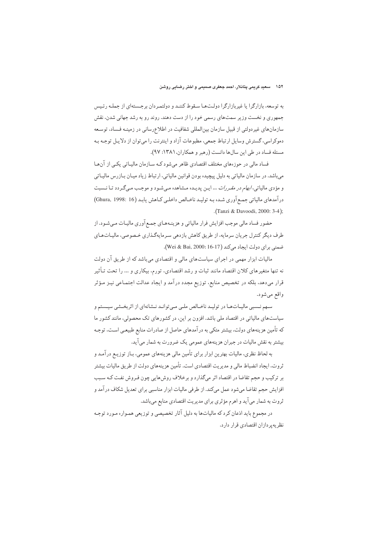به توسعه، بازارگرا یا غیربازارگرا دولتها سقوط کننـد و دولتمـردان برجـستهای از جملـه رئـیس جمهوري و نخست وزير سمتهاي رسمي خود را از دست دهند. روند رو به رشد جهاني شدن، نقش سازمانهای غیردولتی از قبیل سازمان بین|لمللی شفافیت در اطلاعرسانی در زمینـه فـساد، توسـعه دموکراسی، گسترش وسایل ارتباط جمعی، مطبوعات آزاد و اینترنت را می توان از دلایـل توجـه بـه مسئله فساد در طي اين سالها دانست (رهبر و همكاران، ١٣٨١: ٩٧).

فساد مالی در حوزههای مختلف اقتصادی ظاهر می شود کـه سـازمان مالیـاتی یکـی از آن هـا میباشد. در سازمان مالیاتی به دلیل پیچیده بودن قوانین مالیاتی، ارتباط زیاد میـان بـازرس مالساتی و مؤدي مالياتي، *ابهام در مقررات* ... ايـن پديـده مـشاهده مـي شـود و موجـب مـيگـردد تـا نـسبت درآمدهای مالیاتی جمع آوری شده به تولید ناخالص داخلبی کاهش یابد (16 :1998 Ghura,) .(Tanzi & Davoodi, 2000: 3-4);

حضور فساد مالی موجب افزایش فرار مالیاتی و هزینـههـای جمـع آوری مالیـات مـیشـود. از طرف دیگر کنترل جریان سرمایه، از طریق کاهش بازدهی سرمایهگذاری خصوصی، مالیـاتهـای ضمنی ہرای دولت ایجاد می کند (Wei & Bai, 2000: 16-17).

مالیات ابزار مهمی در اجرای سیاستهای مالی و اقتصادی میباشد که از طریق آن دولت نه تنها متغیرهای کلان اقتصاد مانند ثبات و رشد اقتصادی، تورم، بیکاری و … را تحت تـأثیر قرار میدهد، بلکه در تخصیص منابع، توزیع مجدد درآمد و ایجاد عدالت اجتمـاعی نیـز مـؤثر واقع مي شود.

سهم نسبی مالیـاتهـا در تولیـد ناخـالص ملـی مـیتوانـد نـشانهای از اثربخـشی سیـستم و سیاستهای مالیاتی در اقتصاد ملی باشد. افزون بر این، در کشورهای تک محصولی، مانند کشور ما که تأمین هزینههای دولت، بیشتر متکی به درآمدهای حاصل از صادرات منابع طبیعـی اسـت، توجـه بیشتر به نقش مالیات در جبران هزینههای عمومی یک ضرورت به شمار می آید.

به لحاظ نظري، ماليات بهترين ابزار براي تأمين مالي هزينههاي عمومي، بـاز توزيـع درآمـد و ثروت، ايجاد انضباط مالي و مديريت اقتصادي است. تأمين هزينههاي دولت از طريق ماليات بيشتر بر ترکیب و حجم تقاضا در اقتصاد اثر میگذارد و برخلاف روش هایی چون فـروش نفـت کـه سـبب افزایش حجم تقاضا میشود عمل میکند. از طرفی مالیات ابزار مناسبی برای تعدیل شکاف درآمد و ثروت به شمار می آید و اهرم مؤثری برای مدیریت اقتصادی منابع میباشد.

در مجموع باید اذعان کرد که مالیاتها به دلیل آثار تخصیصی و توزیعی همـواره مـورد توجـه نظر به بر دازان اقتصادی قرار دارد.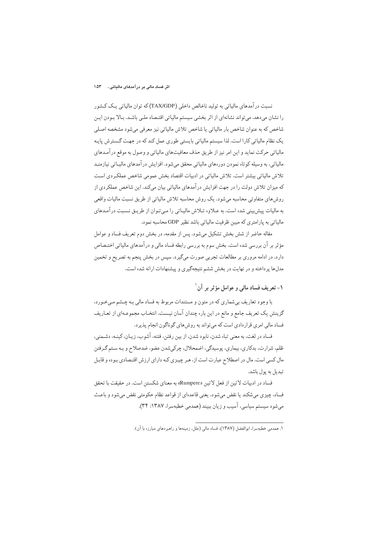نسبت در آمدهای مالیاتی به تولید ناخالص داخلی (TAX/GDP) که توان مالیاتی یک کـشور را نشان میدهد، میتواند نشانهای از اثر بخشی سیستم مالیاتی اقتصاد ملبی باشد. بالا بودن ایـن شاخص که به عنوان شاخص بار مالیاتی یا شاخص تلاش مالیاتی نیز معرفی میشود مشخصه اصلی یک نظام مالیاتی کارا است. لذا سیستم مالیاتی بایستی طوری عمل کند که در جهت گسترش پایـه مالیاتی حرکت نماید و این امر نیز از طریق حذف معافیتهای مالیاتی و وصول به موقع درآمدهای مالياتي، به وسيله كوتاه نمودن دورههاي مالياتي محقق مي شود. افزايش درآمدهاي ماليــاتي نيازمنــد تلاش مالیاتی بیشتر است. تلاش مالیاتی در ادبیات اقتصاد بخش عمومی شاخص عملکردی است که میزان تلاش دولت را در جهت افزایش درآمدهای مالیاتی بیان میکند. این شاخص عملکردی از روش های متفاوتی محاسبه می شود. یک روش محاسبه تلاش مالیاتی از طریق نسبت مالیات واقعی به مالیات پیش بینی شده است. به عـلاوه تـلاش مالیـاتی را مـی تـوان از طریـق نـسبت درآمـدهای مالیاتی به پارامتری که مبین ظرفیت مالیاتی باشد نظیر GDP محاسبه نمود.

مقاله حاضر از شش بخش تشکیل می شود. پس از مقدمه، در بخش دوم تعریف فساد و عوامل مؤثر بر آن بررسی شده است. بخش سوم به بررسی رابطه فساد مالی و درآمدهای مالیاتی اختـصاص دارد. در ادامه مروری بر مطالعات تجربی صورت میگیرد. سپس در بخش پنجم به تصریح و تخمین مدلها بر داخته و در نهایت در بخش ششم نتیجهگیری و پیشنهادات ارائه شده است.

## ١- تعريف فساد مالي و عوامل مؤثر بر آن ١

با وجود تعاریف بی شماری که در متون و مستندات مربوط به فساد مالی بـه چــشم مـی خــورد، گزینش یک تعریف جامع و مانع در این باره چندان آسان نیست. انتخـاب مجموعـهای از تعـاریف فساد مالی امری قراردادی است که می تواند به روش های گوناگون انجام پذیرد.

فساد در لغت، به معنى تباه شدن، نابود شدن، از بين رفتن، فتنه، آشوب، زيـان، كينـه، دشـمنى، ظلم، شرارت، بدکاري، بيماري، پوسيدگي، اضمحلال، چرکيشدن عضو، ضدصلاح و بـه سـتم گـرفتن مال کسی است. مال در اصطلاح عبارت است از، هـر چیـزی کـه دارای ارزش اقتـصادی بـوده و قابـل تبدیل به یول باشد.

فساد در ادبیات لاتین از فعل لاتین «Rumpere» به معنای شکستن است. در حقیقت با تحقق فساد، چيزي مي شكند يا نقض مي شود، يعني قاعدهاي از قواعد نظام حكومتي نقض مي شود و باعث مي شود سيستم سياسي، آسيب و زيان ببيند (همدمي خطبهسرا، ١٣٨٧: ٣۴).

١. همدمي خطبهسرا، ابوالفضل (١٣٨٧)، فساد مالي (علل، زمينهها و راهيردهاي مبارزه يا آن).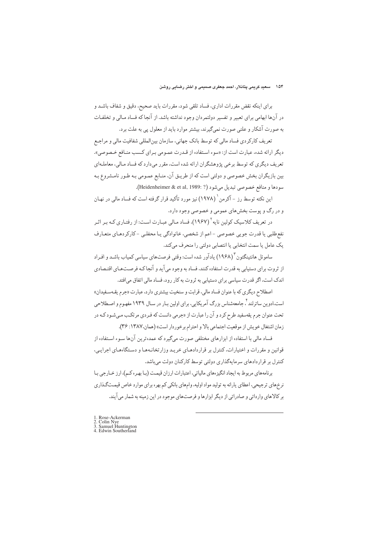برای اینکه نقض مقررات اداری، فساد تلقی شود، مقررات باید صحیح، دقیق و شفاف باشـد و در آنها ابهامی برای تعبیر و تفسیر دولتمردان وجود نداشته باشد. از آنجا که فساد مـالی و تخلفـات به صورت آشکار و علنی صورت نمیگیرند، بیشتر موارد باید از معلول یی به علت برد.

تعریف کارکردی فساد مالی که توسط بانک جهانی، سازمان بینالمللی شفافیت مالی و مراجع دیگر ارائه شده، عبارت است از: «سوء استفاده از قـدرت عمـومی بـرای کـسب منـافع خـصوصی». تعریف دیگری که توسط برخی پژوهشگران ارائه شده است، مقرر می دارد که فساد مـالی، معاملـهای بین بازیگران بخش خصوصی و دولتی است که از طریـق آن، منـابع عمـومی بـه طـور نامـشروع بـه سودها و منافع خصوصي تبديل مي شود (? :Heidenheimer & et al, 1989).

این نکته توسط رز – آکرمن ` (۱۹۷۸) نیز مورد تأکید قرار گرفته است که فساد مالی در نهـان و در رگ و پوست بخشهای عمومی و خصوصی وجود دارد.

در تعریف کلاسیک کولین نایه <sup>۲</sup> (۱۹۶۷)، فساد مـالی عبـارت اسـت: از رفتـاری کـه بـر اثـر نفع طلبي يا قدرت جويي خصوصي –اعم از شخصي، خانوادگي يـا محفلـي –كاركردهـاي متعـارف يک عامل يا سمت انتخابي يا انتصابي دولتي را منحرف ميكند.

ساموئل هانتینگتون (۱۹۶۸) یادآور شده است: وقتی فرصتهای سیاسی کمیاب باشـد و افـراد از ثروت برای دستبابی به قدرت استفاده کنند، فساد به وجود می آید و آنجا کـه فرصـتهـای اقتـصادی اندک است، اگر قدرت سیاسی برای دستیابی به ثروت به کار رود، فساد مالی اتفاق میافتد.

اصطلاح ديگري كه با عنوان فساد مالي، قرابت و سنخيت بيشتري دارد، عبارت «جرم يقـهسـفيدان» است.ادوین ساترلند <sup>۲</sup>. جامعهشناس بزرگ آمریکایی، برای اولین بـار در سـال ۱۹۳۹ مفهـوم و اصـطلاحی تحت عنوان جرم یقهسفید طرح کرد و آن را عبارت از «جرمی دانست که فـردی مرتکـب مـیشـود کـه در زمان اشتغال خويش از موقعيت اجتماعي بالا و احترام برخوردار است» (همان،١٣٨٧: ٣۶).

فساد مالی با استفاده از ابزارهای مختلفی صورت میگیرد که عمدهترین آنها سـوء اسـتفاده از قوانین و مقررات و اختیارات، کنترل بر قراردادهـای خریـد وزارتخانـههـا و دسـتگاههـای اجرایـی، کنترل بر قراردادهای سرمایهگذاری دولتی توسط کارکنان دولت میباشد.

بر نامههای مربوط به ایجاد انگیز معای مالیاتی، اعتبارات ارزان قیمت (بـا بهـر ه کـم)، ارز خــارجی بـا نرخ های ترجیحی، اعطای پارانه به تولید مواد اولیه، وام های بانکی کم بهره برای موارد خاص قیمتگذاری بر کالاهای وارداتی و صادراتی از دیگر ابزارها و فرصتهای موجود در این زمینه به شمار می آیند.

1. Rose-Ackerman<br>2. Colin Nye<br>3. Samuel Huntington<br>4. Edwin Southerland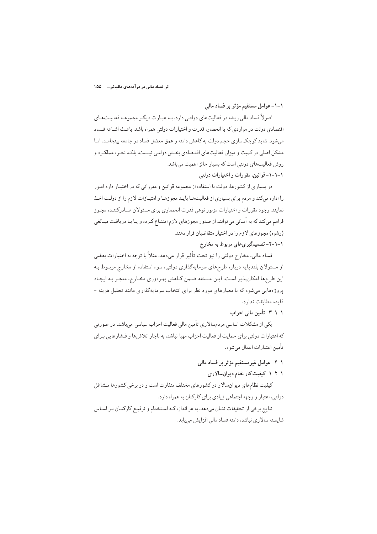١-١- عوامل مستقيم مؤثر بر فساد مالي

اصولاً فساد مالي ريشه در فعاليتهاي دولتبي دارد. بـه عبـارت ديگـر مجموعـه فعاليـتهـاي اقتصادی دولت در مواردی که با انحصار، قدرت و اختیارات دولتی همراه باشد، باعث اشباعه فساد می شود. شاید کوچکسازی حجم دولت به کاهش دامنه و عمق معضل فساد در جامعه بینجامـد. امـا مشکل اصلی در کمیت و میزان فعالیتهای اقتـصادی بخـش دولتـی نیـست، بلکـه نحـوه عملکـر د و روش فعالیتهای دولتی است که بسیار حائز اهمیت میباشد. ١-١-١- قوانين، مقررات و اختيارات دولتي

در بسیاری از کشورها، دولت با استفاده از مجموعه قوانین و مقرراتی که در اختیـار دارد امـور را اداره می کند و مردم برای بسیاری از فعالیتها بایید مجوزها و امتیازات لازم را از دولت اخیذ نمایند. وجود مقررات و اختیارات مزبور نوعی قدرت انحصاری برای مسئولان صادرکننـده مجـوز فراهم میکند که به آسانی می توانند از صدور مجوزهای لازم امتنـاع کـرده و پـا بـا دریافـت مبـالغی (رشوه) مجوزهای لازم را در اختیار متقاضیان قرار دهند.

۱-۱-۲- تصمیمگیریهای مربوط به مخارج

فساد مالي، مخارج دولتي را نيز تحت تأثير قرار مي‹هد. مثلاً با توجه به اختيارات بعضي از مسئولان بلندپایه درباره طرحهای سرمایهگذاری دولتی، سوء استفاده از مخارج مربـوط بـه این طرحها امکان پذیر است. ایـن مـسئله ضـمن کـاهش بهـرهوري مخـارج، منجـر بـه ایجـاد پروژههایی می شود که با معیارهای مورد نظر برای انتخاب سرمایهگذاری مانند تحلیل هزینه -فايده مطابقت ندارد.

## ١-١-٣- تأمين مالي احزاب

یکی از مشکلات اساسی مردمسالاری تأمین مالی فعالیت احزاب سیاسی میباشد. در صورتی که اعتبارات دولتی برای حمایت از فعالیت احزاب مهیا نباشد، به ناچار تلاش ها و فشارهایی بـرای تأمين اعتبارات اعمال مي شود.

# ١-٢- عوامل غيرمستقيم مؤثر بر فساد مالي

١-٢-١-كيفيت كار نظام ديوانسالارى

کیفیت نظامهای دیوانسالار در کشورهای مختلف متفاوت است و در برخی کشورها مشاغل دولتي، اعتبار و وجهه اجتماعي زيادي براي كاركنان به همراه دارد.

نتايج برخي از تحقيقات نشان مىدهد، به هر اندازه كـه اسـتخدام و ترفيـع كاركنـان بـر اسـاس شایسته سالاری نباشد، دامنه فساد مالی افزایش می باید.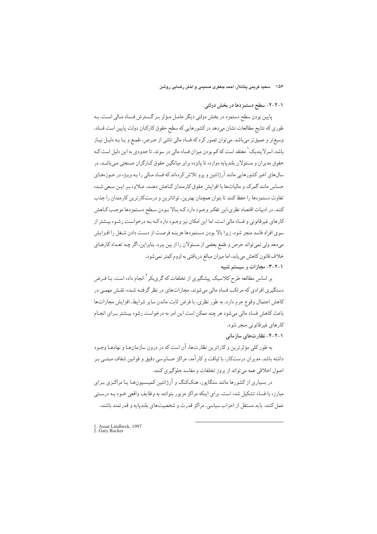## ۱-۲-۲- سطح دستمزدها در بخش دولتی

پایین بودن سطح دستمزد در بخش دولتی دیگر عامل مؤثر بـر گـسترش فـساد مـالي اسـت. بـه طوري كه نتايج مطالعات نشان مىدهد در كشورهايي كه سطح حقوق كاركنان دولت پايين است فساد، وسیع تر و عمیق تر می باشد. می توان تصور کرد که فساد مالی ناشی از حرص، طمع و یـا بـه دلیـل نیـاز باشد. اسرلایندبک <sup>۱</sup> معتقد است که کم بودن میزان فساد مال<sub>ی</sub> در سوئد، تا حدودی به این دلیل است کـه حقوق مدیران و مسئولان بلندپایه دوازده تا پانزده برابر میانگین حقوق کـارگران صـنعتی مـیباشـد. در سالهای اخیر کشورهایی مانند آرژانتین و پرو تلاش کردهاند که فساد مـالی را بـه ویـژه در حـوزههـای حساس مانند گمرک و مالیاتها با افزایش حقوق کارمندان کـاهش دهنـد، عـلاوه بـر ایـن سـعی شـده تفاوت دستمزدها را حفظ كنند تا بتوان همچنان بهترین، تواناترین و درستكارترین كارمندان را جذب كنند. در ادبيات اقتصاد نظري،اين تفكر وجـود دارد كـه بـالا بـودن سـطح دسـتمزدها موجـب كـاهش کارهای غیرقانونی و فساد مالی است، اما این امکان نیز وجـود دارد کـه بـه درخواسـت رشـوه بیـشتر از سوی افراد فاسد منحر شود، زیرا بالا بودن دستمزدها هزینبه فرصت از دست دادن شیغل را افیزایش میدهد ولی نمی تواند حرص و طمع بعضی از مسئولان را از بین ببرد. بنابراین، اگر چـه تعـداد كارهـای خلاف قانون كاهش مى يابد، اما ميزان مبالغ دريافتى به لزوم كمتر نمى شود.

١-٢-٣- مجازات و سيستم تنبيه

بر اساس مطالعه طرح کلاسیک پیشگیری از تخلفات که گریبکر<sup>۲</sup> انجام داده است، بـا فـرض دستگیری افرادی که مرتکب فساد مالی میشوند، مجازاتهای در نظر گرفتـه شـده، نقـش مهمـی در كاهش احتمال وقوع جرم دارد. به طور نظري، با فرض ثابت ماندن ساير شرايط، افزايش مجازاتها باعث كاهش فساد مالي مي شود هر چند ممكن است اين امر به درخواست رشوه بيـشتر بـراي انجـام کارهای غیرقانونی منجر شود.

۱-۲-۴- نظارتهای سازمانی

به طور کلبی مؤثرترین و کاراترین نظارتها، آن است که در درون سازمانهـا و نهادهـا وجـود داشته باشد. مدیران درستکار، با لیاقت و کارآمد، مراکز حسابرسی دقیق و قوانین شفاف مبتنبی بـر اصول اخلاقی همه می تواند از بروز تخلفات و مفاسد جلوگیری کنند.

در بسیاری از کشورها مانند سنگاپور، هنککنگ و آرژانتین کمیـسیونهـا یـا مراکـزی بـرای مبارزه با فساد تشکیل شده است. برای اینکه مراکز مزبور بتوانند به وظایف واقعی خـود بـه درسـتی عمل کنند، باید مستقل از احزاب سیاسی، مراکز قدرت و شخصیتهای بلندپایه و قدرتمند باشند.

<sup>1.</sup> Assar Lindbeck, 1997<br>2. Gary Backer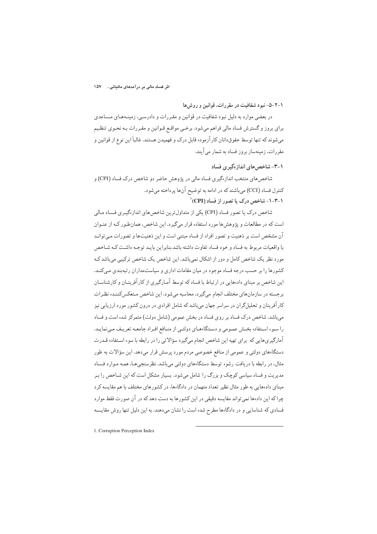## ۱-۲-۵- نبو د شفافیت در مقر رات، قوانین و روش ها

در بعضی موارد به دلیل نبود شفافیت در قوانین و مقررات و دادرسی، زمینـههـای مـساعدی برای بروز و گسترش فساد مالی فراهم میشود. برخمی مواقع قـوانین و مقـررات بـه نحـوی تنظـیم میشوند که تنها توسط حقوقدانان کارآزموده قابل درک و فهمیدن هستند. غالباً این نوع از قوانین و مقررات، زمینهساز بروز فساد به شمار می آیند.

۰-۳- شاخص های انداز هگیر ی فساد

شاخص های منتخب اندازهگیری فساد مالی در پژوهش حاضر دو شاخص درک فساد (CPI) و کنترل فساد (CCI) میباشند که در ادامه به توضیح آنها پرداخته میشود. ۰-۳-۱-شاخص درک با تصور از فساد (CPI)

شاخص درک یا تصور فساد (CPI) یکی از متداولترین شاخصهای اندازهگیری فساد مـالی است که در مطالعات و پژوهش ها مورد استفاده قرار میگیرد. این شاخص، همانطور کـه از عنـوان آن مشخص است بر ذهنیت و تصور افراد از فساد مبتنی است و این ذهنیتها و تصورات مبی توانید با واقعیات مربوط به فساد و خود فساد تفاوت داشته باشد.بنابراین بایید توجیه داشت کیه شیاخص مورد نظر یک شاخص کامل و دور از اشکال نمیباشد. این شاخص یک شاخص ترکیبی میباشد ک کشورها را بر حسب درجه فساد موجود در میان مقامات اداری و سیاستمداران رتبهبندی میکنـد. این شاخص بر مبنای دادههایی در ارتباط با فساد که توسط آمـارگیری از کارآفرینـان و کارشناسـان برجسته در سازمانهای مختلف انجام میگیرد، محاسبه میشود. این شاخص مـنعکس کننـده نظـرات کارآفرینان و تحلیلگران در سراسر جهان میباشد که شامل افرادی در درون کشور مورد ارزیابی نیز می باشد. شاخص درک فساد بر روی فساد در بخش عمومی (شامل دولت) متمرکز شده است و فساد را سوء استفاده بخش عمومي و دستگاههاي دولتـي از منـافع افـراد جامعـه تعريـف مـينمايـد. آمارگیریهایی که برای تهیه این شاخص انجام میگیرد سؤالاتی را در رابطه با سوء استفاده قـدرت دستگاههای دولتی و عمومی از منافع خصوصی مردم مورد پرسش قرار میدهد. این سؤالات به طور مثال، در رابطه با دریافت رشوه توسط دستگاههای دولتی میباشد. نظرسنجیهـا، همـه مـوارد فـساد مدیریت و فساد سیاسی کوچک و بزرگ را شامل میشود. بسیار مشکل است که این شـاخص را بـر مبنای دادههایی به طور مثال نظیر تعداد متهمان در دادگاهها، در کشورهای مختلف با هم مقایسه کرد چراکه این دادهها نمی تواند مقایسه دقیقی در این کشورها به دست دهد که در آن صورت فقط موارد فسادي كه شناسايي و در دادگاهها مطرح شده است را نشان مىدهند. به اين دليل تنها روش مقايسه

1. Corruption Perception Index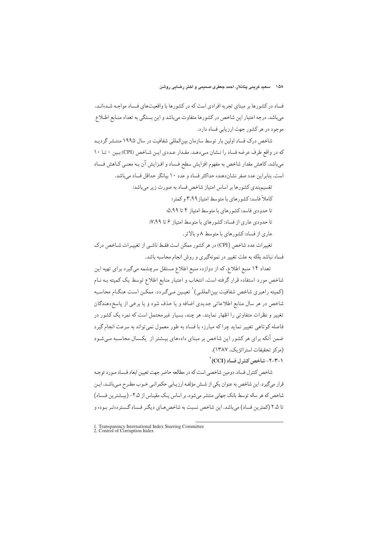فساد در کشورها بر مبنای تجربه افرادی است که در کشورها با واقعیتهای فساد مواجـه شـدهانـد. میباشد. درجه اعتبار این شاخص در کشورها متفاوت میباشد و این بستگی به تعداد منـابع اطـلاع موجود در هر کشور جهت ارزیابی فساد دارد.

شاخص درک فساد اولین بار توسط سازمان بینالمللی شفافیت در سال ۱۹۹۵ منتـشر گردیـد که در واقع طرف عرضه فساد را نـشان مـى دهـد. مقـدار عـددى ايـن شـاخص (CPI) بـين • تـا ١٠ میباشد. کاهش مقدار شاخص به مفهوم افزایش سطح فساد و افـزایش آن بـه معنـی کـاهش فـساد است. بنابراین عدد صفر نشاندهنده حداکثر فساد و عدد ۱۰ بیانگر حداقل فساد میباشد.

تقسیم بندی کشورها بر اساس امتیاز شاخص فساد به صورت زیر می باشد:

کاملاً فاسد: کشورهای با متوسط امتیاز ۳٬۹۹ و کمتر؛

تا حدودی فاسد: کشورهای با متوسط امتیاز ۴ تا ۵،۹۹:

تا حدودی عاری از فساد: کشورهای با متوسط امتیاز ۶ تا ۷٬۹۹

عاری از فساد: کشورهای با متوسط ۸ و بالاتر.

تغییرات عدد شاخص (CPI) در هر کشور ممکن است فقط ناشبی از تغییـرات شـاخص درک فساد نباشد بلکه به علت تغییر در نمونهگیری و روش انجام محاسبه باشد.

تعداد ۱۴ منبع اطلاع، که از دوازده منبع اطلاع مستقل سرچشمه می گیرد برای تهیه این شاخص مورد استفاده قرار گرفته است. انتخاب و اعتبار منابع اطلاع توسط یک کمیته بـه نـام (كميته راهبري شاخص شفافيت بين|لمللي) ` تعيـين مـيگـردد. ممكـن اسـت هنگـام محاسـبه شاخص در هر سال منابع اطلاعاتي جديدي اضافه و يا حذف شود و يا برخي از پاسخ دهندگان تغییر و نظرات متفاوتی را اظهار نمایند. هر چند، بسیار غیرمحتمل است که نمره یک کشور در فاصله کوتاهی تغییر نماید چرا که مبارزه با فساد به طور معمول نمیتواند به سرعت انجام گیرد ضمن آنکه برای هر کشور این شاخص بر مبنای دادههای بیـشتر از یکـسال محاسـبه مـی شـود (مركز تحقيقات استراتژيک، ١٣٨٧).

۲-۲-۲- شاخص کنتر ل فساد (CCI)

شاخص کنترل فساد، دومین شاخصی است که در مطالعه حاضر جهت تعیین ابعاد فیساد میورد توجیه قرار میگیرد. این شاخص به عنوان یکی از شـش مؤلفـه ارزیـابی حکمرانـی خـوب مطـرح مـیباشـد. ایـن شاخص که هر ساله توسط بانک جهانی منتشر میشود، بر اساس یـک مقیـاس از ۲.۵- (بیـشترین فـساد) تا ۲،۵ (کمترین فساد) می باشد. این شاخص نسبت به شاخص هیای دیگیر فساد گستر دوتیر بوده و

<sup>1.</sup> Transparency International Index Steering Committee<br>2. Control of Corruption Index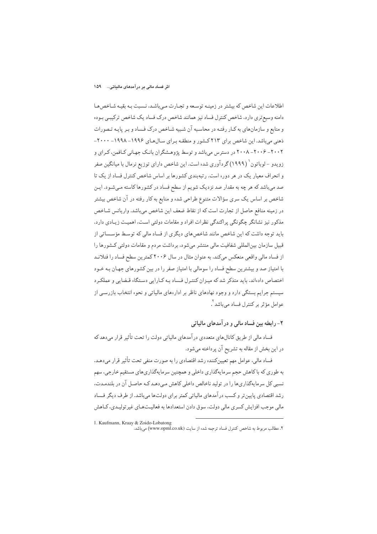#### اش فساد مالی بر درآمدهای مالیاتی… ۱۵۹

اطلاعات این شاخص که بیشتر در زمینـه توسـعه و تجـارت مـی باشـد، نـسبت بـه بقیـه شـاخص هـا دامنه وسیع تری دارد. شاخص کنترل فساد نیز همانند شاخص درک فساد یک شاخص ترکیبی بوده و منابع و سازمانهای به کـار رفتـه در محاسـبه آن شـبیه شـاخص درک فـساد و بـر پایـه تـصورات ذهنی می باشد. این شاخص برای ۲۱۳ کشور و منطقه برای سال های ۱۹۹۶- ۱۹۹۸- ۲۰۰۰-۲۰۰۲ - ۲۰۰۶ - ۲۰۰۸ در دسترس می باشد و توسط پژوهشگران بانک جهانی کـافمن، کـرای و زویدو -لوباتون' (۱۹۹۹) گر دآوری شده است. این شاخص دارای توزیع نرمال با میانگین صفر و انحراف معیار یک در هر دوره است. رتبهبندی کشورها بر اساس شاخص کنترل فساد از یک تا صد میباشد که هر چه به مقدار صد نزدیک شویم از سطح فساد در کشورها کاسته مـیشـود. ایـن شاخص بر اساس یک سری سؤالات متنوع طراحی شده و منابع به کار رفته در آن شاخص بیشتر در زمینه منافع حاصل از تجارت است که از نقاط ضعف این شاخص میباشد. واریانس شـاخص مذکور نیز نشانگر چگونگی پراکندگی نظرات افراد و مقامات دولتی است، اهمیت زیادی دارد. باید توجه داشت که این شاخص مانند شاخص های دیگری از فساد مالی که توسط مؤسساتی از قبیل سازمان بین|لمللی شفافیت مالی منتشر میشود، برداشت مردم و مقامات دولتی کـشورها را از فساد مالی واقعی منعکس میکند. به عنوان مثال در سال ۲۰۰۶ کمترین سطح فساد را فنلانـد با امتیاز صد و بیشترین سطح فساد را سومالی با امتیاز صفر را در بین کشورهای جهـان بـه خـود اختصاص دادهاند. باید متذکر شد که میـزان کنتـرل فـساد بـه کـارایی دسـتگاه قـضایی و عملکـرد سیستم جرایم بستگی دارد و وجود نهادهای ناظر بر ادارههای مالیاتی و نحوه انتخاب بازرسی از عوامل مؤثر بر كنترل فساد مي باشد<sup>٢</sup>.

## ۲– رابطه بین فساد مالی و در آمدهای مالیاتی

فساد مالی از طریق کانالهای متعددی در آمدهای مالیاتی دولت را تحت تأثیر قرار میدهد که در این بخش از مقاله به تشریح آن پرداخته میشود.

فساد مالی، عوامل مهم تعیینکننده رشد اقتصادی را به صورت منفی تحت تأثیر قرار میدهد. به طوري كه با كاهش حجم سرمايهگذاري داخلي و همچنين سرمايهگذاريهاي مستقيم خارجي، سهم نسبی کل سرمایهگذاریها را در تولید ناخالص داخلی کاهش می دهـد کـه حاصـل آن در بلندمـدت، رشد اقتصادی پایین تر و کسب در آمدهای مالیاتی کمتر برای دولتها میباشد. از طرف دیگر فساد مالي موجب افزايش كسرى مالي دولت، سوق دادن استعدادها به فعاليتهاي غير توليـدي، كــاهش

<sup>1.</sup> Kaufmann, Kraay & Zoido-Lobatong ۲. مطالب مربوط به شاخص کنترل فساد ترجمه شده از سایت (www.opml.co.uk) میباشد.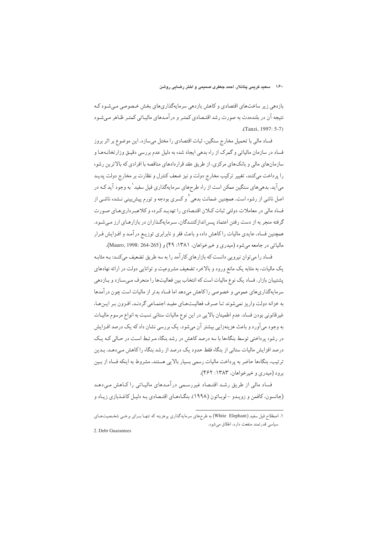بازدهی زیر ساختهای اقتصادی و کاهش بازدهی سرمایهگذاریهای بخش خصوصی می شـود کـه نتیجه آن در بلندمدت به صورت رشد اقتـصادی کمتـر و درآمـدهای مالیـاتی کمتـر ظـاهر مـیشـود (Tanzi, 1997: 5-7)

فساد مالي با تحميل مخارج سنگين، ثبات اقتصادي را مختل ميسازد. اين موضوع بر اثر بروز فساد در سازمان مالیاتی و گمرک از راه بدهی ایجاد شده به دلیل عدم بررسی دقیـق وزارتخانـهمـا و سازمانهای مالی و بانکهای مرکزی، از طریق عقد قراردادهای مناقصه با افرادی که بالاترین رشوه را پرداخت میکنند، تغییر ترکیب مخارج دولت و نیز ضعف کنترل و نظارت بر مخارج دولت پدیـد می آید. بدهیهای سنگین ممکن است از راه طرحهای سرمایهگذاری فیل سفید <sup>۱</sup> به وجود آید کـه در اصل ناشی از رشوه است. همچنین ضمانت بدهی<sup>۲</sup> و کسری بودجه و تورم پیش بینی نـشده ناشـی از فساد مالی در معاملات دولتی ثبات کـلان اقتـصادی را تهدیـد کـرده و کلاهبـرداری،هـای صـورت گرفته منجر به از دست رفتن اعتماد پس اندازکننـدگان، سـرمايهگـذاران در بازارهـاي ارز مـيشـود. همچنین فساد، عایدی مالیات راکاهش داده و باعث فقر و نابرابری توزیـع درآمـد و افـزایش فـرار مالياتي در جامعه مي شود (ميدري و خيرخواهان، ١٣٨١: ۴٩) و (264-264 Mauro, 1998: 264).

فساد را می توان نیرویی دانست که بازارهای کارآمد را به سه طریق تضعیف میکند: بـه مثابـه یک مالیات، به مثابه یک مانع ورود و بالاخره تضعیف مشروعیت و توانایی دولت در ارائه نهادهای پشتیبان بازار. فساد یک نوع مالیات است که انتخاب بین فعالیتها را منحرف میسازد و بازدهی سرمایهگذاریهای عمومی و خصوصی را کاهش میدهد اما فساد بدتر از مالیات است چون درآمدها به خزانه دولت واريز نمي شوند تـا صـرف فعاليـتهـاي مفيـد اجتمـاعي گردنـد. افـزون بـر ايـنهـا، غیرقانونی بودن فساد، عدم اطمینان بالایی در این نوع مالیات ستانی نسبت به انواع مرسوم مالیـات به وجود میآورد و باعث هزینهزایی بیشتر آن میشود. یک بررسی نشان داد که یک درصد افـزایش در رشوه پرداختی توسط بنگاهها با سه درصد کاهش در رشد بنگاه مـرتبط اسـت در حـالی کـه یـک درصد افزایش مالیات ستانی از بنگاه فقط حدود یک درصد از رشد بنگاه را کاهش مبیدهـد. بـدین ترتیب، بنگاهها حاضر به پرداخت مالیات رسمی بسیار بالایی هستند، مشروط به اینکه فساد از بین برود (ميدري و خير خواهان، ١٣٨٣: ۴۶٢).

فساد مالی از طریق رشـد اقتـصاد غیررسـمی درآمـدهای مالیـاتی را کـاهش مـیدهـد (جانسون، کافمن و زویـدو -لوبـاتون (۱۹۹۸). بنگـاهعـای اقتـصادی بـه دليـل کاغـذبازی زيـاد و

2. Debt Guarantees

۱. اصطلاح فیل سفید (White Elephant) به طرحهای سرمایه گذاری پرهزینه که تنهـا بـرای برخـی شخـصیتهـای سیاسی قدرتمند منفعت دارد، اطلاق میشود.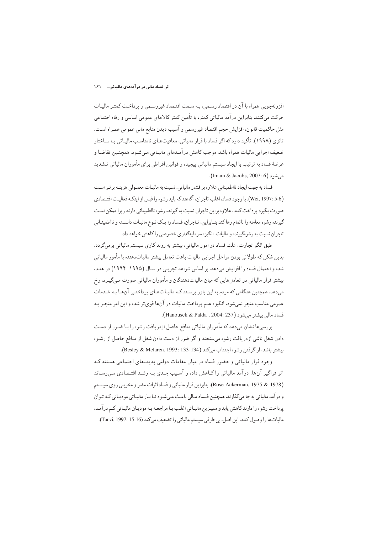#### اثر فساد مالی بر درآمدهای مالیاتی… ۱۶۱

افزونهجویی همراه با آن در اقتصاد رسـمی، بـه سـمت اقتـصاد غیررسـمی و پرداخـت کمتـر مالیـات حرکت میکنند. بنابراین در آمد مالیاتی کمتر، با تأمین کمتر کالاهای عمومی اساسی و رفاه اجتماعی مثل حاكميت قانون، افزايش حجم اقتصاد غيررسمي و آسيب ديدن منابع مالي عمومي همـراه اسـت. تانزی (۱۹۹۸)، تأکید دارد که اگر فساد با فرار مالیاتی، معافیتهـای نامناسـب مالیـاتی یـا سـاختار ضعيف اجرايي ماليات همراه باشد، موجب كاهش در آمـدهاي ماليـاتي مـيشـود. همچنـين تقاضـا و عرضهٔ فساد به ترتیب با ایجاد سیستم مالیاتی پیچیده و قوانین افراطی برای مأموران مالیاتی تـشدید مىشود (Imam & Jacobs, 2007: 6).

فساد به جهت ايجاد نااطميناني علاوه بر فشار مالياتي، نسبت به ماليـات معمـولي هزينـه برتـر اسـت (Wei, 1997: 5-6). با وجود فساد، اغلب تاجران. اگاهند که بايد رشوه را قبـل از اينکـه فعاليـت اقتـصادي صورت بگیرد پرداخت کنند. علاوه براین تاجران نسبت به گیرنده رشوه نااطمینانی دارند زیرا ممکن است گیرنده رشوه معامله را ناتمام رهاكند بنـابراین. تـاجران. فـساد را یـك نـوع مالیـات دانـسته و نااطمینـانی تاجران نسبت به رشوهگیرنده و مالیات، انگیزه سرمایهگذاری خصوصی راکاهش خواهد داد.

طبق الگو تجارت، علت فساد در امور مالیاتی، بیشتر به روند کاری سیستم مالیاتی برمیگردد. بدین شکل که طولانی بودن مراحل اجرایی مالیات باعث تعامل بیشتر مالیاتدهنده با مأمور مالیاتی شده و احتمال فساد را افزایش میدهد. بر اساس شواهد تجربـی در سـال (۱۹۹۵–۱۹۹۴) در هنـد، بیشتر فرار مالیاتی در تعاملهایی که میان مالیاتدهندگان و مأموران مالیاتی صورت میگیـرد، رخ میدهد. همچنین هنگامی که مردم به این باور برسـند کـه مالیـاتهـای پرداختـی آنهـا بـه خـدمات عمومی مناسب منجر نمیشود، انگیزه عدم پرداخت مالیات در آنها قویتر شده و این امر منجـر بـه فساد مالی بیشتر میشود (Hanousek & Palda , 2004: 237).

بررسیها نشان میدهد که مأموران مالیاتی منافع حاصل ازدریافت رشوه را بـا ضـرر از دسـت دادن شغل ناشي ازدريافت رشوه ميسنجند و اگر ضرر از دست دادن شغل از منافع حاصل از رشـوه بیشتر باشد، از گرفتن رشوه اجتناب میكند (Besley & Mclaren, 1993: 133-134).

وجود فرار مالیاتی و حضور فساد در میان مقامات دولتی پدیدههای اجتماعی هستند کـه اثر فراگیر آنها، درآمد مالیاتی راکاهش داده و آسـیب جـدی بـه رشـد اقتـصادی مـی٫سـاند (Rose-Ackerman, 1975 & 1978). بنابراين فرار مالياتي و فساد اثرات مضر و مخربـي روي سيـستم و در آمد مالیاتی به جا میگذارند. همچنین فـساد مـالی باعـث مـیشـود تـا بـار مالیـاتی مودیـانی کـه تـوان پرداخت رشوه را دارند کاهش يابد و مميـزين ماليـاتي اغلـب بـا مراجعـه بـه موديـان ماليـاتي کـم در آمـد. مالياتها را وصول كنند. اين اصل، بي طرفي سيستم مالياتي را تضعيف مي كند (Tanzi, 1997: 15-16).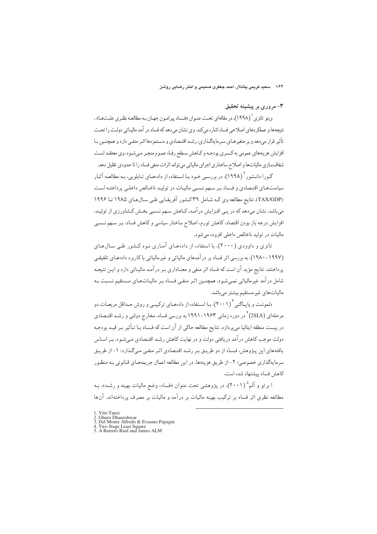۱۶۲ سعید کریمی پتانلار، احمد جعفری صمیمی و اختر رضایی روشن

۳-مروری بر پیشینه تحقیق

ويتو تانزي ( (١٩٩٨)، در مقالهاي تحت عنـوان «فـساد پيرامـون جهـان بـه مطالعـه نظـري علـتهـا» ، نتیجهها و عملکردهای اصلاحی فساد اشاره میکند. وی نشان میدهد که فساد در آمد مالیـاتی دولـت را تحـت تأثیر قرار میدهد و بر متغیرهـای سـرمایهگـذاری، رشـد اقتـصادی و دسـتمزدها اثـر منفـی دارد و همچنـین بـا افزایش هزینههای عمومی به کـسری بودجـه و کـاهش سـطح رفـاه عمـوم منجـر مـیشـود. وی معتقـد اسـت شفافسازی مالیاتها و اصلاح ساختاری اجرای مالیاتی می تواند اثرات منفی فساد را تا حدودی تقلیل دهد.

گـورا دانـشور<sup>۲</sup> (۱۹۹۸)، در بررسـی خـود بـا اسـتفاده از دادههـای تـابلویی، بـه مطالعـه آثـار سیاست هـای اقتـصادی و فـساد بـر سـهم نـسبی مالیـات در تولیـد ناخـالص داخلـی پرداختـه اسـت (TAX/GDP). نتایج مطالعه وی کـه شـامل ٣٩کـشور آفریقـایی طـی سـال۱۹۸۵ تـا ۱۹۹۶ میباشد، نشان میدهد که در پـی افـزایش در آمـد، کـاهش سـهم نـسببی بخـش کـشاورزي از توليـد. افزایش درجه باز بودن اقتصاد، کاهش تورم، اصلاح ساختار سیاسی و کاهش فساد، بـر سـهم نـسبي ماليات در توليد ناخالص داخلي افزوده مي شود.

تانزی و داوودی (۲۰۰۰)، با استفاده از دادههای آماری نـود کـشور طـی سـالهـای (۱۹۹۷-۱۸۸۰)، به بررسی اثر فساد بر درآمدهای مالیاتی و غیرمالیاتی با کاربرد دادههای تلفیقی پرداختند. نتایج مؤید آن است که فساد اثر منفی و معنـاداری بـر درآمـد مالیـاتی دارد و ایـن نتیجـه شامل درآمد غیرمالیاتی نمے شـود. همچنـین اثـر منفـی فـساد بـر مالیـاتهـای مـستقیم نـسبت بـه مالياتهاي غيرمستقيم بيشتر مىباشد.

دلمونـت و پاپـاگنى (٢٠٠١)، بـا اسـتفاده از دادههـاى تركيبـى و روش حـداقل مربعـات دو مرحلهای (2SLS)<sup>۲</sup> در دوره زمانی ۱۹۶۳–۱۹۹۱ به بررسی فساد، مخارج دولتی و رشـد اقتـصادی در بیست منطقه ایتالیا می پردازد. نتایج مطالعه حاکی از آن است که فـساد بـا تـأثیر بـر قیـد بودجـه دولت موجب کاهش در آمد دریافتی دولت و در نهایت کاهش رشـد اقتـصادی مـیشـود. بـر اسـاس بافتههای این پیژوهش، فیساد از دو طریبق پیر رشید اقتیصادی اثیر منفی می گیذار د: ۱-از طریبق سرمايهگذاري خصوصي؛ ٢- از طريق هزينهها. در اين مطالعه اعمال جريمههـاي قـانوني بـه منظـور كاهش فساد يبشنهاد شده است.

ا بر تو و آلم ۲۰۰۱)، در پژوهشي تحت عنوان «فساد، وضع ماليات بهينه و رشد»، بـه مطالعه نظری اثر فساد بر ترکیب بهینه مالیات بر درآمد و مالیات بر مصرف پرداختهاند. آنها

<sup>1.</sup> Vito Tanzi

<sup>2.</sup> Ghuro Dhaneshwar<br>3. Del Monte Alfredo & Evasmo Papagni

<sup>4.</sup> Two Stage Least Square<br>5. A Barreto Raul and James ALM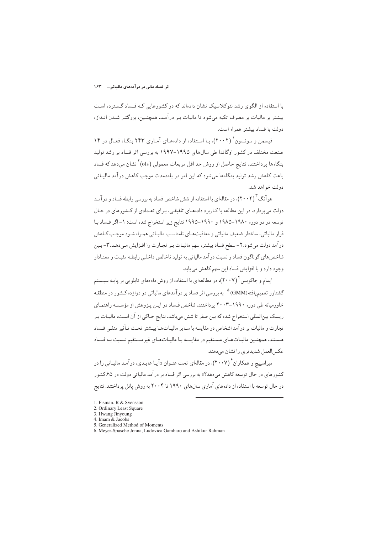با استفاده از الگوی رشد نئوکلاسیک نشان دادهاند که در کشورهایی کـه فـساد گـسترده اسـت بیشتر بر مالیات بر مصرف تکیه میشود تا مالیات بـر درآمـد. همچنـین، بزرگتـر شـدن انـدازه دولت با فساد بیشتر همراه است.

فیسمن و سونسون (۲۰۰۲)، با استفاده از دادههای آماری ۲۴۳ بنگـاه فعـال در ۱۴ صنعت مختلف در کشور اوگاندا طی سالهای ۱۹۹۵–۱۹۹۷ به بررسی اثر فساد بر رشد تولید بنگارها بر داختند. نتایج حاصل از روش جد اقل مربعات معمولی (ols)<sup>۲</sup> نشان می دهد که فساد باعث کاهش رشد تولید بنگاهها می شود که این امر در بلندمدت موجب کاهش درآمد مالیـاتی ده لت خواهد شد.

هو آنگ (۲۰۰۲)، در مقالهای با استفاده از شش شاخص فساد به بررسی رابطه فساد و در آمـد دولت می پر دازد. در این مطالعه با کباربرد دادههای تلفیقی، بیرای تعبدادی از کشورهای در حبال توسعه در دو دوره ۱۹۸۰–۱۹۸۵ و ۱۹۹۰–۱۹۹۵ نتایج زیر استخراج شده است: ۱- اگر فساد با فرار مالیاتی، ساختار ضعیف مالیاتی و معافیتهـای نامناسـب مالیـاتی همـراه شـود موجـب کـاهش درآمد دولت میشود.٢- سطح فساد بیشتر، سهم مالیـات بـر تجـارت را افـزایش مـیدهـد.٣- بـین شاخص های گوناگون فساد و نسبت در آمد مالیاتی به تولید ناخالص داخلبی رابطـه مثبـت و معنـادار وجود دارد و با افزایش فساد این سهم کاهش می یابد.

ایمام و جاکوبس ٔ (۲۰۰۷)، در مطالعهای با استفاده از روش دادههای تابلویی بر پایـه سیـستم گشتاور تعمیمیافته(GMM) <sup>۵</sup> به بررسی اثر فساد بر درآمدهای مالیاتی در دوازده کـشور در منطقـه خاور میانه طی دوره ۱۹۹۰–۲۰۰۳ پرداختند. شاخص فساد در ایـن پـژوهش از مؤسسه راهنمـای ریسک بینالمللی استخراج شده که بین صفر تا شش میباشد. نتایج حـاکی از آن اسـت، مالیـات بـر تجارت و مالیات بر در آمد اشخاص در مقایسه با سـایر مالیـاتهـا بیـشتر تحـت تـأثیر منفـی فـساد هستند، همچنین مالیـاتهـای مـستقیم در مقایـسه بـا مالیـاتهـای غیرمـستقیم نـسبت بـه فـساد عکس العمل شدیدتری را نشان مے دهند.

میراسییچ و همکاران ۲۰۰۷)، در مقالهای تحت عنـوان «آیـا عایـدی، در آمـد مالیـاتی را در کشورهای در حال توسعه کاهش می،دهد؟» به بررسی اثر فساد بر درآمد مالیاتی دولت در ۶۵کشور در حال توسعه با استفاده از دادههای آماری سالهای ۱۹۹۰ تا ۲۰۰۴ به روش یانل پرداختند. نتایج

- 2. Ordinary Least Square
- 3. Hwang Jinyoung
- 4. Imam & Jacobs 5. Generalized Method of Moments
- 6. Meyer-Spasche Jonna, Ludovica Gambaro and Ashikur Rahman

<sup>1.</sup> Fisman. R & Svensson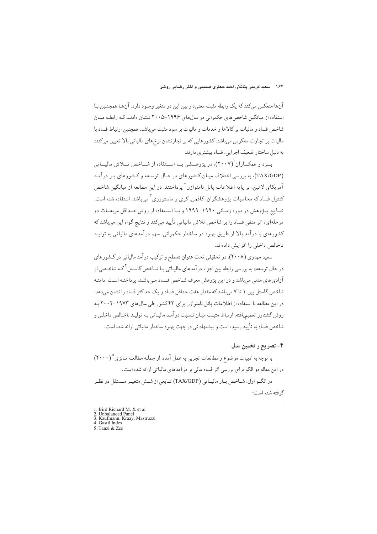آنها منعکس میکند که یک رابطه مثبت معنیدار بین این دو متغیر وجـود دارد. آنهـا همچنـین بـا استفاده از میانگین شاخص های حکمرانی در سال های ۱۹۹۶–۲۰۰۵ نـشان دادنـد کـه رابطـه میـان شاخص فساد و مالیات بر کالاها و خدمات و مالیات بر سود مثبت می باشد. همچنین ار تباط فساد با مالیات بر تجارت معکوس میباشد. کشورهایی که بر تجارتشان نرخهای مالیاتی بالا تعیین میکنند به دلیل ساختار ضعیف اجرایی، فساد بیشتری دارند.

ب د و همکساران (۲۰۰۷)، در پژوهسشه، سا اسستفاده از شساخص تسلاش مالیساتی (TAX/GDP)، به بررسی اختلاف میان کشورهای در حـال توسـعه و کـشورهای پـر درآمـد آمریکای لاتین، بر پایه اطلاعات پانل نامتوازن<sup>۲</sup> پرداختند. در این مطالعه از میانگین شاخص کنترل فساد که محاسبات پژوهشگران، کافمن، کری و ماستروزی<sup>۳</sup> میباشد، استفاده شده است. نتـايج پــژوهش در دوره زمــاني ۱۹۹۰-۱۹۹۹ و بــا اســتفاده از روش حــداقل مربعــات دو مرحلهای، اثر منفی فساد را بر شاخص تلاش مالیاتی تأیید میکند و نتایج گواه این می باشد که کشورهای با درآمد بالا از طریق بهبود در ساختار حکمرانی، سهم درآمدهای مالیاتی به تولیـد ناخالص داخلي را افزايش دادهاند.

سعید مهدوی (۲۰۰۸)، در تحقیقی تحت عنوان «سطح و ترکیب درآمد مالیاتی در کشورهای در حال توسعه» به بررسی رابطه بین اجزاء در آمدهای مالیـاتی بـا شـاخص گاسـتل <sup>۴</sup>کـه شاخـصی از آزادیهای مدنی میباشد و در این پژوهش معرف شـاخص فـساد مـیباشـد. پرداختـه اسـت. دامنـه شاخص گاستل بین ١ تا ٧ میباشد كه مقدار هفت حداقل فساد و یک حداكثر فساد را نشان میدهد. در این مطالعه با استفاده از اطلاعات پانل نامتوازن برای ۴۳ کشور طی سال های ۱۹۷۳-۲۰۰۲ بـه روش گشتاور تعمیمیافته، ارتباط مثبت میـان نـسبت درآمـد مالیـاتی بـه تولیـد ناخـالص داخلـی و شاخص فساد به تأييد رسيده است و پيشنهاداتي در جهت بهبود ساختار مالياتي ارائه شده است.

۴- تصريح و تخمين مدل

با توجه به ادبیات موضوع و مطالعات تجربی به عمل آمده، از جملـه مطالعـه تـانزی<sup>0</sup> (٢٠٠٠) در این مقاله دو الگو برای بررسی اثر فساد مالی بر درآمدهای مالیاتی ارائه شده است.

در الگــو اول، شــاخص بــار ماليــاتي (TAX/GDP) تــابعي از شــش متغيــر مــستقل در نظــر گر فته شده است:

1. Bird Richard M. & et al. 2. Unbalanced Panel<br>
3. Kaufmann, Kraay, Mastruzzi 4. Gastil Index 5. Tanzi & Zee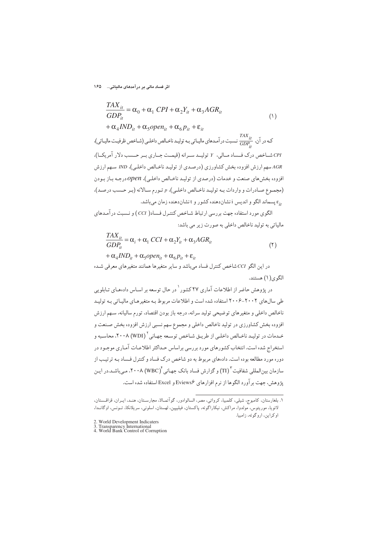اثر فساد مالی بر درآمدهای مالیاتی… ۱۶۵

$$
\frac{TAX_{it}}{GDP_{it}} = \alpha_0 + \alpha_1 \; CPI + \alpha_2 Y_{it} + \alpha_3 AGR_{it}
$$
\n
$$
+ \alpha_4 IND_{it} + \alpha_5 open_{it} + \alpha_6 p_{it} + \varepsilon_{it}
$$
\n
$$
+ \alpha_4 IND_{it} + \alpha_5 open_{it} + \alpha_6 p_{it} + \varepsilon_{it}
$$
\n
$$
\sum_{i=1}^{TAX_{it}} \text{sum}_{it} \text{sum}_{it} \text{sum}_{it} \text{sum}_{it} \text{sum}_{it} \text{sum}_{it} \text{sum}_{it} \text{sum}_{it} \text{sum}_{it} \text{sum}_{it} \text{sum}_{it} \text{sum}_{it} \text{sum}_{it} \text{sum}_{it} \text{sum}_{it} \text{sum}_{it} \text{sum}_{it} \text{sum}_{it} \text{sum}_{it} \text{sum}_{it} \text{sum}_{it} \text{sum}_{it} \text{sum}_{it} \text{sum}_{it} \text{sum}_{it} \text{sum}_{it} \text{sum}_{it} \text{sum}_{it} \text{sum}_{it} \text{sum}_{it} \text{sum}_{it} \text{sum}_{it} \text{sum}_{it} \text{sum}_{it} \text{sum}_{it} \text{sum}_{it} \text{sum}_{it} \text{sum}_{it} \text{sum}_{it} \text{sum}_{it} \text{sum}_{it} \text{sum}_{it} \text{sum}_{it} \text{sum}_{it} \text{sum}_{it} \text{sum}_{it} \text{sum}_{it} \text{sum}_{it} \text{sum}_{it} \text{sum}_{it} \text{sum}_{it} \text{sum}_{it} \text{sum}_{it} \text{sum}_{it} \text{sum}_{it} \text{sum}_{it} \text{sum}_{it} \text{sum}_{it} \text{sum}_{it} \text{sum}_{it} \text{sum}_{it} \text{sum}_{it} \text{sum}_{it} \text{sum}_{it} \text{sum}_{it} \text{sum}_{it} \text{sum}_{it} \text{sum}_{it} \text{sum}_{it} \text{sum}_{it} \text{sum}_{it} \text{sum}_{it} \text{sum}_{it} \text{sum}_{it} \text{sum}_{it} \text{sum}_{it} \text{sum}_{it} \text{sum}_{it} \text{sum}_{it} \text{sum}_{it} \text{sum}_{it} \text{sum}_{it} \text{sum}_{it} \text{sum}_{it} \text{sum}_{it} \text{sum}_{it} \text{
$$

الگوی مورد استفاده جهت بررسی ارتباط شـاخص کنتـرل فـساد( CCI ) و نـسبت درآمـدهای مالیاتی به تولید ناخالص داخلی به صورت زیر می باشد:

$$
\frac{TAX_{it}}{GDP_{it}} = \alpha_i + \alpha_1 CCI + \alpha_2 Y_{it} + \alpha_3 AGR_{it}
$$
  
+  $\alpha_4 IND_{it} + \alpha_5 open_{it} + \alpha_6 p_{it} + \varepsilon_{it}$  (7)

در این الگو CCI شاخص کنترل فساد میباشد و سایر متغیرها همانند متغیرهای معرفی شـده الگوی(۱) هستند.

در پژوهش حاضر از اطلاعات آماری ۲۷ کشور<sup>\</sup> در حال توسعه بر اسـاس دادههـای تـابلویی طی سال های ۲۰۰۲-۲۰۰۶ استفاده شده است و اطلاعات مربوط به متغیرهای مالیاتی به تولید ناخالص داخلي و متغيرهاي توضيحي توليد سرانه، درجه باز بودن اقتصاد، تورم ساليانه، سـهم ارزش افزوده بخش کشاورزی در تولید ناخالص داخلی و مجموع سهم نسبی ارزش افزوده بخش صـنعت و خـدمات در توليـد ناخـالص داخلـي از طريـق شـاخص توسـعه جهـاني \ (WDI) ٢٠٠٨، محاسـبه و استخراج شده است. انتخاب کشورهای مورد بررسی براساس حـداکثر اطلاعـات آمـاری موجـود در دوره مورد مطالعه بوده است. دادههای مربوط به دو شاخص درک فساد و کنترل فـساد بـه ترتیـب از سازمان بینالمللی شفافیت "(TI) و گزارش فساد بانک جهـانی ٔ ۲۰۰۸، (WBC)، مـیباشـد.در ایـن يژوهش، جهت بر آورد الگوها از نرم افزارهاي Eviews۶ و Excel استفاده شده است.

١. بلغارستان، كامبوج، شيلي، كلمبيا، كرواتي، مصر، السالوادور، گوآتمـالا، مجارسـتان، هنـد، ايـران، قزاقـستان، لاتويا، موريتوس، مولدوا، مراكش، نيكاراگوئه، پاكستان، فيليپين، لهستان، اسلونى، سريلانكا، تــونس، اوگانــدا، اوکراین، اروگوئه، زامبیا.

<sup>2.</sup> World Development Indicaters<br>3. Transparency International<br>4. World Bank Control of Corruption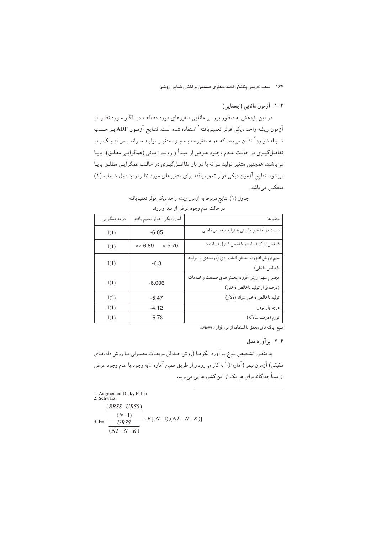۱۶۶ – سعید کریمی پتانلار، احمد جعفری صمیمی و اختر رضایی روشن

## ۴-۱-آزمون مانایی (ایستایی)

در این پژوهش به منظور بررسی مانایی متغیرهای مورد مطالعـه در الگـو مـورد نظـر، از آزمون ریشه واحد دیکی فولر تعمیم،یافته<sup>۱</sup> استفاده شده است. نتـایج آزمـون ADF بـر حـسب ضابطه شوارز<sup>۲</sup> نشان میدهد که همـه متغیرهـا بـه جـزء متغیـر تولیـد سـرانه پـس از یـک بـار تفاضلگیـري در حالـت عـدم وجـود عـرض از مبـدأ و رونـد زمـاني (همگرايـي مطلـق)، پايـا میباشند. همچنین متغیر تولید سرانه با دو بار تفاضل گیـری در حالـت همگرایـی مطلـق پایـا میشود. نتایج آزمون دیکی فولر تعمیمیافته برای متغیرهای مورد نظردر جـدول شـماره (۱) منعکس میباشد.

| درجه همگرایی | آماره ديكي- فولر تعميم يافته           | متغيرها                                                                      |  |  |  |  |  |  |
|--------------|----------------------------------------|------------------------------------------------------------------------------|--|--|--|--|--|--|
| I(1)         | $-6.05$                                | نسبت درآمدهاي مالياتي به توليد ناخالص داخلي                                  |  |  |  |  |  |  |
| I(1)         | $\times -5.70$<br>$\times\times$ -6.89 | شاخص درک فساد× و شاخص کنترل فساد××                                           |  |  |  |  |  |  |
| I(1)         | $-6.3$                                 | سهم ارزش افـزوده بخـش كـشاورزي (درصـدي از توليـد<br>ناخالص داخلي)            |  |  |  |  |  |  |
| I(1)         | $-6.006$                               | مجموع سهم ارزش افزوده بخشرهاي صنعت و خـدمات<br>(درصدي از توليد ناخالص داخلي) |  |  |  |  |  |  |
| I(2)         | $-5.47$                                | تولید ناخالص داخلی سرانه (دلار)                                              |  |  |  |  |  |  |
| I(1)         | $-4.12$                                | درجه باز بودن                                                                |  |  |  |  |  |  |
| I(1)         | $-6.78$                                | تورم (درصد سالانه)                                                           |  |  |  |  |  |  |

| جدول (١): نتايج مربوط به آزمون ريشه واحد ديكي فولر تعميم يافته |  |
|----------------------------------------------------------------|--|
| در حالت عدم وجود عرض از مبدأ و روند                            |  |

منبع: يافتههاى محقق با استفاده از نرم افزار Eviews6

## ۴-۲- بر آورد مدل

به منظور تشخیص نـوع بـرآورد الگوهـا (روش حـداقل مربعـات معمـولي يـا روش دادهمـاي .<br>تلفيقي) آزمون ليمر (آمارهF) ٌ به كار مي رود و از طريق همين آماره F به وجود يا عدم وجود عرض از مبدأ جداگانه برای هر یک از این کشورها پی میبریم.

1. Augmented Dicky Fuller<br>2. Schwarz

$$
3. \text{F=}\frac{\frac{(RRSS-URSS)}{(N-1)}}{\frac{URSS}{(NT-N-K)}} \sim F[(N-1),(NT-N-K)]
$$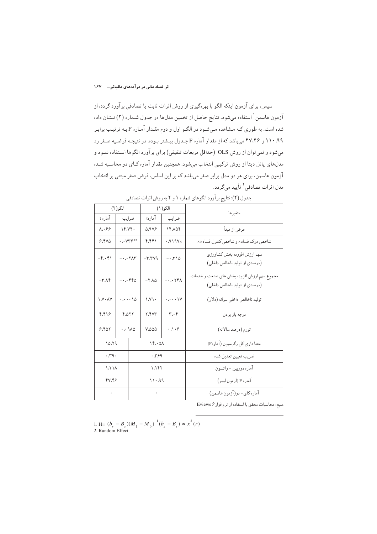سپس، برای آزمون اینکه الگو با بهرهگیری از روش اثرات ثابت یا تصادفی برآورد گردد، از آزمون هاسمن ْ استفاده میشود. نتایج حاصل از تخمین مدلها در جدول شـماره (۲) نـشان داده شده است. به طوري كـه مـشاهده مـي شـود در الگـو اول و دوم مقـدار آمـاره F بـه ترتيـب برابـر ۱۱۰٬۹۹ و ۴۷٬۴۶ میباشد که از مقدار آماره F جـدول بیـشتر بـوده، در نتیجـه فرضـیه صـفر رد می شود و نمی توان از روش OLS (حداقل مربعات تلفیقی) برای بر آورد الگوها استفاده نمـود و مدلهای پانل دیتا از روش ترکیبی انتخاب می شود. همچنین مقدار آماره کیای دو محاسبه شده آزمون هاسمن، برای هر دو مدل برابر صفر میباشد که بر این اساس، فرض صفر مبتنی بر انتخاب مدل اثرات تصادفي<sup>۲</sup> تأييد ميگر دد.

| الگو(۲)                          |                                                    | الگو(١)      |                                       | متغيرها                                          |                                                                             |
|----------------------------------|----------------------------------------------------|--------------|---------------------------------------|--------------------------------------------------|-----------------------------------------------------------------------------|
| آماره t                          |                                                    | ضرايب        | آمارهt                                | ضر ایب                                           |                                                                             |
| $\lambda99$<br>19.79.            |                                                    | <b>A.9VE</b> | 16.106                                | عرض از مبدأ                                      |                                                                             |
| 9.540                            | $\cdot \cdot$ $\vee \vee \vee \vee \vee \vee$      |              | ۴٫۴۴۱                                 | .919V <sub>x</sub>                               | شاخص درک فساد× و شاخص کنترل فساد××                                          |
| $-\mathfrak{f}\cdot\mathfrak{f}$ | $- \cdot \cdot \cdot \mathsf{Y} \wedge \mathsf{Y}$ |              | $-Y, Y -$                             | $-0.510$                                         | سهم ارزش افزوده بخش كشاورزي<br>(درصدي از توليد ناخالص داخلي)                |
| $-\mathsf{r} \wedge \mathsf{r}$  | $\dots$ ۴۴۵                                        |              | $-\mathsf{Y}.\wedge \vartriangle$     | $- \cdot \cdot \cdot$ $\uparrow \uparrow \wedge$ | مجموع سهم ارزش افزوده بخش هاى صنعت و خدمات<br>(درصدی از تولید ناخالص داخلی) |
| $\Lambda$ . $\Lambda$ Y          | $\cdots$ 10                                        |              | $\setminus \setminus \setminus \cdot$ | $\cdots$                                         | توليد ناخالص داخلي سرانه (دلار)                                             |
| ۴٫۴۱۶                            | 4.077                                              |              | <b>7.4YY</b>                          | $\mathbf{r} \cdot \mathbf{r}$                    | درجه باز بودن                                                               |
| 9.801                            | $\cdots$ 9 $\Lambda$ $\Delta$                      |              | <b>V.000</b>                          | .1.9                                             | تورم (درصد سالانه)                                                          |
| 10.79                            |                                                    | 15.01        |                                       | معنا داري كل رگرسيون (آمارهF)                    |                                                                             |
| .79.                             |                                                    | .799         |                                       | ضريب تعيين تعديل شده                             |                                                                             |
| $\lambda$ / $\lambda$            |                                                    | 1.181        |                                       | آماره دوربين -واتسون                             |                                                                             |
| 47.49                            |                                                    | 11.99        |                                       | آماره F (آزمون ليمر)                             |                                                                             |
| $\rightarrow$                    |                                                    | $\bullet$ .  |                                       | آماره كاي- دو(آزمون هاسمن)                       |                                                                             |

جدول (٢): نتايج برآورد الگوهاي شماره ١ و ٢ به روش اثرات تصادفي

منبع: محاسبات محقق با استفاده از نرم افزار Eviews ۶

1. H=  $(b_{_s}$   $B_{_s}){(M_{_1}-M_{_0})}^{-1}(b_{_s}-B_{_s})$   $\approx$   $x^2(r)$ 2. Random Effect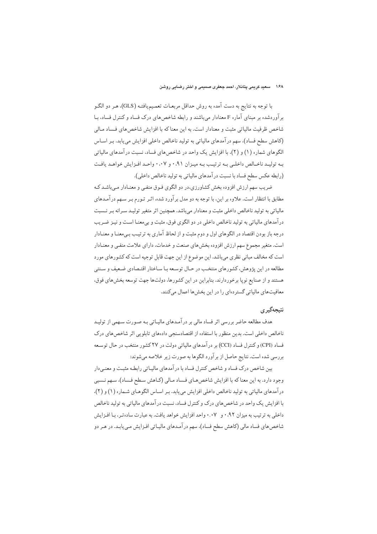## ۱۶۸ – سعید کریمی پتانلار، احمد جعفری صمیمی و اختر رضایی روشن

با توجه به نتايج به دست آمده به روش حداقل مربعـات تعمـيميافتـه (GLS). هـر دو الگـو برآوردشده بر مبنای آماره F معنادار میباشند و رابطه شاخصهای درک فساد و کنترل فساد، بـا شاخص ظرفیت مالیاتی مثبت و معنادار است. به این معناکه با افزایش شاخص های فساد مـالی (كاهش سطح فساد)، سهم در آمدهاي مالياتي به توليد ناخالص داخلي افزايش مي يابد. بـر اسـاس الگوهای شماره (۱) و (۲)، با افزایش یک واحد در شاخصهای فساد، نسبت درآمدهای مالیاتی به تولید ناخبالص داخلبی بیه ترتیب بیه مییزان ۰،۹۱ و ۰،۰۷ واحید افیزایش خواهید یافت (رابطه عکس سطح فساد با نسبت درآمدهای مالیاتی به تولید ناخالص داخلی).

ضریب سهم ارزش افزوده بخش کشاورزی،در دو الگوی فـوق منفـی و معنـادار مـی،باشـد کـه مطابق با انتظار است. علاوه بر این، با توجه به دو مدل برآورد شده، اثـر تـورم بـر سـهم درآمـدهاي مالیاتی به تولید ناخالص داخلی مثبت و معنادار میباشد. همچنین اثر متغیر تولیـد سـرانه بـر نـسبت درآمدهای مالیاتی به تولید ناخالص داخلی در دو الگوی فوق، مثبت و بیمعنـا اسـت و نیـز ضـریب درجه باز بودن اقتصاد در الگوهای اول و دوم مثبت و از لحاظ آماری به ترتیب بـیمعنـا و معنـادار است. متغیر مجموع سهم ارزش افزوده بخش های صنعت و خدمات، دارای علامت منفی و معنـادار است که مخالف مبانی نظری میباشد. این موضوع از این جهت قابل توجیه است که کشورهای مورد مطالعه در این پژوهش، کشورهای منتخب در حـال توسـعه بـا سـاختار اقتـصادی ضـعیف و سـنتی هستند و از صنایع نوپا برخوردارند. بنابراین در این کشورها، دولتها جهت توسعه بخشهای فوق، معافیتهای مالیاتی گستردهای را در این بخشها اعمال میکنند.

## نتىجەگد ي

هدف مطالعه حاضر بررسی اثر فساد مالی بر درآمـدهای مالیـاتی بـه صـورت سـهمی از تولیـد ناخالص داخلی است. بدین منظور با استفاده از اقتصادسنجی دادههای تابلویی اثر شاخص های درک فساد (CPI) و کنترل فساد (CCI) بر درآمدهای مالیاتی دولت در ۲۷کشور منتخب در حال توسعه بررسي شده است. نتايج حاصل از برآورد الگوها به صورت زير خلاصه ميشوند:

بین شاخص درک فساد و شاخص کنترل فساد با در آمدهای مالیـاتی رابطـه مثبـت و معنـیدار وجود دارد. به این معنا که با افزایش شاخص های فساد مالی (کـاهش سـطح فـساد)، سـهم نـسبي درآمدهای مالیاتی به تولید ناخالص داخلی افزایش می یابد. بر اساس الگوهای شماره (۱) و (۲)، با افزایش یک واحد در شاخصهای درک و کنترل فساد، نسبت درآمدهای مالیاتی به تولید ناخالص داخلي به ترتيب به ميزان ٩٢.٠ و ٠.٠٧ واحد افزايش خواهد يافت. به عبارت ساده تـر، بـا افـزايش شاخصهای فساد مالی (کاهش سطح فساد)، سهم در آمـدهای مالیـاتی افـزایش مـییابـد. در هـر دو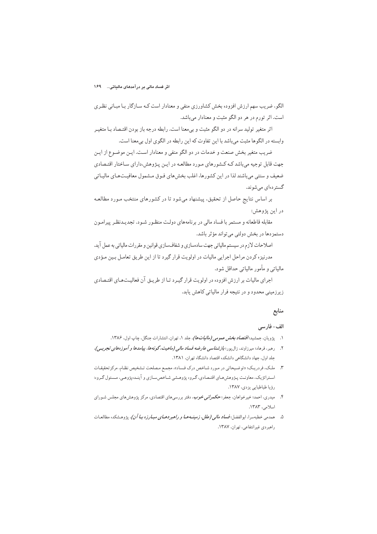الگو، ضریب سهم ارزش افزوده بخش کشاورزی منفی و معنادار است کـه سـازگار بـا مبـانی نظـری است. اثر تورم در هر دو الگو مثبت و معنادار میباشد.

اثر متغیر تولید سرانه در دو الگو مثبت و بی معنا است. رابطه درجه باز بودن اقتـصاد بـا متغیـر وابسته در الگوها مثبت میباشد با این تفاوت که این رابطه در الگوی اول بیمعنا است.

ضریب متغیر بخش صنعت و خدمات در دو الگو منفی و معنادار است. ایـن موضـوع از ایـن جهت قابل توجیه می باشد کـه کـشورهای مـورد مطالعـه در ایـن پـژوهش،دارای سـاختار اقتـصادی ضعیف و سنتی می باشند لذا در این کشورها، اغلب بخش های فـوق مـشمول معافیـتهـای مالیـاتی گستر دهای میشوند.

بر اساس نتایج حاصل از تحقیق، پیشنهاد میشود تا در کشورهای منتخب مـورد مطالعـه در اين پژوهش:

مقابله قاطعانه و مستمر با فساد مالی در برنامههای دولت منظـور شـود. تجدیـدنظـر پیرامـون دستمزدها در بخش دولتي مي تواند مؤثر باشد.

اصلاحات لازم در سیستم مالیاتی جهت سادهسازی و شفافسازی قوانین و مقررات مالیاتی به عمل آید. مدرنیزه کردن مراحل اجرایی مالیات در اولویت قرار گیرد تا از این طریق تعامل بین مؤدی مالیاتی و مأمور مالیاتی حداقل شود.

اجرای مالیات بر ارزش افزوده در اولویت قرار گیرد تا از طریـق آن فعالیـتهـای اقتـصادی زیرزمینی محدود و در نتیجه فرار مالیاتی کاهش یابد.

## منابع

## الف– فارسى

- ۱. پژویان، جمشید؛ *اقتصاد بخش عمومی (مالیاتها)*، جلد ۱. تهران، انتشارات جنگل، چاپ اول، ۱۳۸۶.
- ۲. <sub>د</sub>هبر، فرهاد؛ میرزاوند، زال پور؛ *بازشناسی عارضه فساد مالی (ماهیت، گونهها، پیامدها و آموزههای تجربسی)*، جلد اول، جهاد دانشگاهی دانشکده اقتصاد دانشگاه تهران، ۱۳۸۱.
- ۳. ملک، فردریک: «توضیحاتی در مورد شـاخص درک فـساد»، مجمـع مـصلحت تـشخیص نظـام، مرکز تحقیقـات استراتژیک، معاونت پـژوهشهـاي اقتـصادي، گـروه پژوهـشي شـاخصسـازي و آينـدهپژوهـي، مـسئول گـروه: رؤيا طباطبايي يزدي، ١٣٨٧.
- ۴. میدری، احمد؛ خیرخواهان، جعفر؛ ح*کمرانی خوب*، دفتر بررسیهای اقتصادی، مرکز پژوهشهای مجلس شـورای اسلامی، ١٣٨٣.
- ۵. همدمی خطبه <sub>سر</sub>ا، ابوالفضل؛ *فساد مالبی (علل، زمینسه هبا و راهبر دهبای مبیار زه بیا آن)*، پژوهشکده مطالعیات راهبردي غيرانتفاعي، تهران، ١٣٨٧.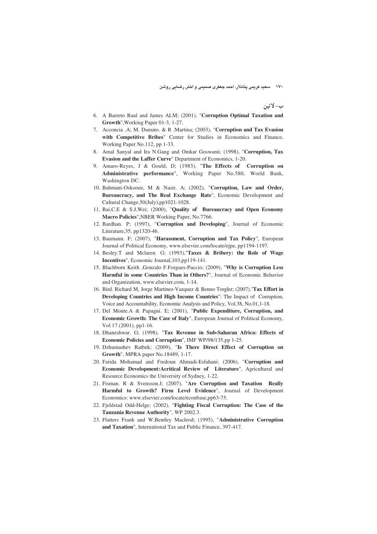۱۷۰ – سعید کریمی پتانلار، احمد جعفری صمیمی و اختر رضایی روشن

ب- لاتين

- 6. A Barreto Raul and James ALM; (2001), "**Corruption Optimal Taxation and Growth**",Working Paper 01-3, 1-27.
- 7. Acconcia .A; M. Damato. & R .Martina; (2003), "**Corruption and Tax Evasion with Competitive Bribes**" Center for Studies in Economics and Finance, Working Paper No.112, pp 1-33.
- 8. Amal Sanyal and Ira N.Gang and Omkar Goswami; (1998), "**Corruption, Tax Evasion and the Laffer Curve**" Department of Economics, 1-20.
- 9. Amaro-Reyes, J & Gould, D; (1983), "**The Effects of Corruption on Administrative performance**", Working Paper No.580, World Bank, Washington DC.
- 10. Bahmani-Oskooee, M & Nasir, A; (2002), "**Corruption, Law and Order, Bureaucracy, and The Real Exchange Rate**", Economic Development and Cultural Change,50(July),pp1021-1028.
- 11. Bai,C.E & S.J,Wei; (2000), "**Quality of Bureaucracy and Open Economy Macro Policies**",NBER Working Paper, No.7766.
- 12. Bardhan. P; (1997), "**Corruption and Developing**", Journal of Economic Literature,35, pp1320-46.
- 13. Baumann. F; (2007), "**Harassment, Corruption and Tax Policy**", European Journal of Political Economy, www.elsevier.com/locate/ejpe, pp1194-1197.
- 14. Besley.T and Mclaren. G; (1993),"**Taxes & Bribery: the Role of Wage Incentives**", Economic Journal,103,pp119-141.
- 15. Blachborn Keith ,Gonzalo F.Forgues-Puccio; (2009), "**Why is Corruption Less Harmful in some Countries Than in Others?**", Journal of Economic Behavior and Organization, www.elsevier.com, 1-14.
- 16. Bird. Richard M, Jorge Martinez-Vazquez & Benno Torgler; (2007),"**Tax Effort in Developing Countries and High Income Countries**": The Impact of Corruption, Voice and Accountability, Economic Analysis and Policy, Vol.38, No.01,1-18.
- 17. Del Monte.A & Papagni. E; (2001), "**Public Expenditure, Corruption, and Economic Growth: The Case of Italy**", European Journal of Political Economy, Vol 17 (2001), pp1-16.
- 18. Dhaneshwar. G; (1998), "**Tax Revenue in Sub-Saharan Africa: Effects of Economic Policies and Corruption**", IMF WP/98/135,pp 1-25.
- 19. Dzhumashev Ratbek; (2009), "**Is There Direct Effect of Corruption on Growth**", MPRA paper No.18489, 1-17.
- 20. Farida Mohamad and Fredoun Ahmadi-Esfahani; (2006), "**Corruption and Economic Development:Acritical Review of Literature**", Agricultural and Resource Economics the University of Sydney, 1-22.
- 21. Fisman. R & Svensson.J; (2007), "**Are Corruption and Taxation Really Harmful to Growth? Firm Level Evidence**", Journal of Development Economics: www.elsevier.com/locate/econbase,pp63-75.
- 22. Fjeldstad Odd-Helge; (2002), "**Fighting Fiscal Corruption: The Case of the Tanzania Revenue Authority**", WP 2002.3.
- 23. Flatters Frank and W.Bentley Macleod; (1995), "**Administrative Corruption and Taxation**", International Tax and Public Finance, 397-417.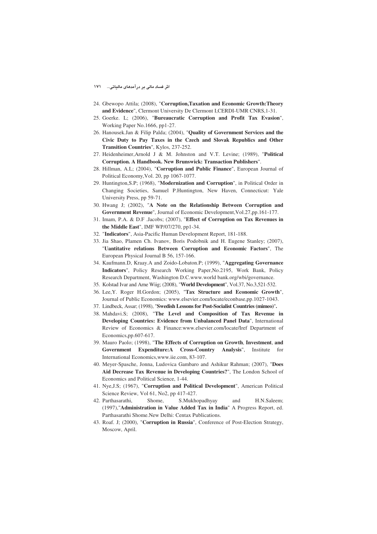- 24. Gbewopo Attila; (2008), "**Corruption,Taxation and Economic Growth:Theory and Evidence**", Clermont University De Clermont I,CERDI-UMR CNRS,1-31.
- 25. Goerke. L; (2006), "**Bureaucratic Corruption and Profit Tax Evasion**", Working Paper No.1666, pp1-27.
- 26. Hanousek.Jan & Filip Palda; (2004), "**Quality of Government Services and the Civic Duty to Pay Taxes in the Czech and Slovak Republics and Other Transition Countries**", Kylos, 237-252.
- 27. Heidenheimer,Arnold J & M. Johnston and V.T. Levine; (1989), "**Political Corruption. A Handbook. New Brunswick: Transaction Publishers**".
- 28. Hillman, A.L; (2004), "**Corruption and Public Finance**", European Journal of Political Economy,Vol. 20, pp 1067-1077.
- 29. Huntington,S.P; (1968), "**Modernization and Corruption**", in Political Order in Changing Societies, Samuel P.Huntington, New Haven, Connecticut: Yale University Press, pp 59-71.
- 30. Hwang J; (2002), "**A Note on the Relationship Between Corruption and Government Revenue**", Journal of Economic Development,Vol.27,pp.161-177.
- 31. Imam, P.A. & D.F .Jacobs; (2007), "**Effect of Corruption on Tax Revenues in the Middle East**", IMF WP/07/270, pp1-34.
- 32. "**Indicators**", Asia-Pacific Human Development Report, 181-188.
- 33. Jia Shao, Plamen Ch. Ivanov, Boris Podobnik and H. Eugene Stanley; (2007), "**Uantitative relations Between Corruption and Economic Factors**", The European Physical Journal B 56, 157-166.
- 34. Kaufmann.D, Kraay.A and Zoido-Lobaton.P; (1999), "**Aggregating Governance Indicators**", Policy Research Working Paper,No.2195, Work Bank, Policy Research Department, Washington D.C.www.world bank.org/wbi/governance.
- 35. Kolstad Ivar and Arne Wiig; (2008), "**World Development**", Vol.37, No.3,521-532.
- 36. Lee,Y. Roger H.Gordon; (2005), "**Tax Structure and Economic Growth**", Journal of Public Economics: www.elsevier.com/locate/econbase,pp.1027-1043.
- 37. Lindbeck, Assar; (1998), "**Swedish Lessons for Post-Socialist Countries (mimeo)**"**.**
- 38. Mahdavi.S; (2008), "**The Level and Composition of Tax Revenue in Developing Countries: Evidence from Unbalanced Panel Data**", International Review of Economics & Finance:www.elsevier.com/locate/Iref Department of Economics,pp.607-617.
- 39. Mauro Paolo; (1998), "**The Effects of Corruption on Growth**, **Investment**, **and Government Expenditure:A Cross-Country Analysis**", Institute for International Economics,www.iie.com, 83-107.
- 40. Meyer-Spasche, Jonna, Ludovica Gambaro and Ashikur Rahman; (2007), "**Does Aid Decrease Tax Revenue in Developing Countries?**", The London School of Economics and Political Science, 1-44.
- 41. Nye,J.S; (1967), "**Corruption and Political Development**", American Political Science Review, Vol 61, No2, pp 417-427.
- 42. Parthasarathi, Shome, S.Mukhopadhyay and H.N.Saleem; (1997),"**Administration in Value Added Tax in India**" A Progress Report, ed. Parthasarathi Shome.New Delhi: Centax Publications.
- 43. Roaf. J; (2000), "**Corruption in Russia**", Conference of Post-Election Strategy, Moscow, April.